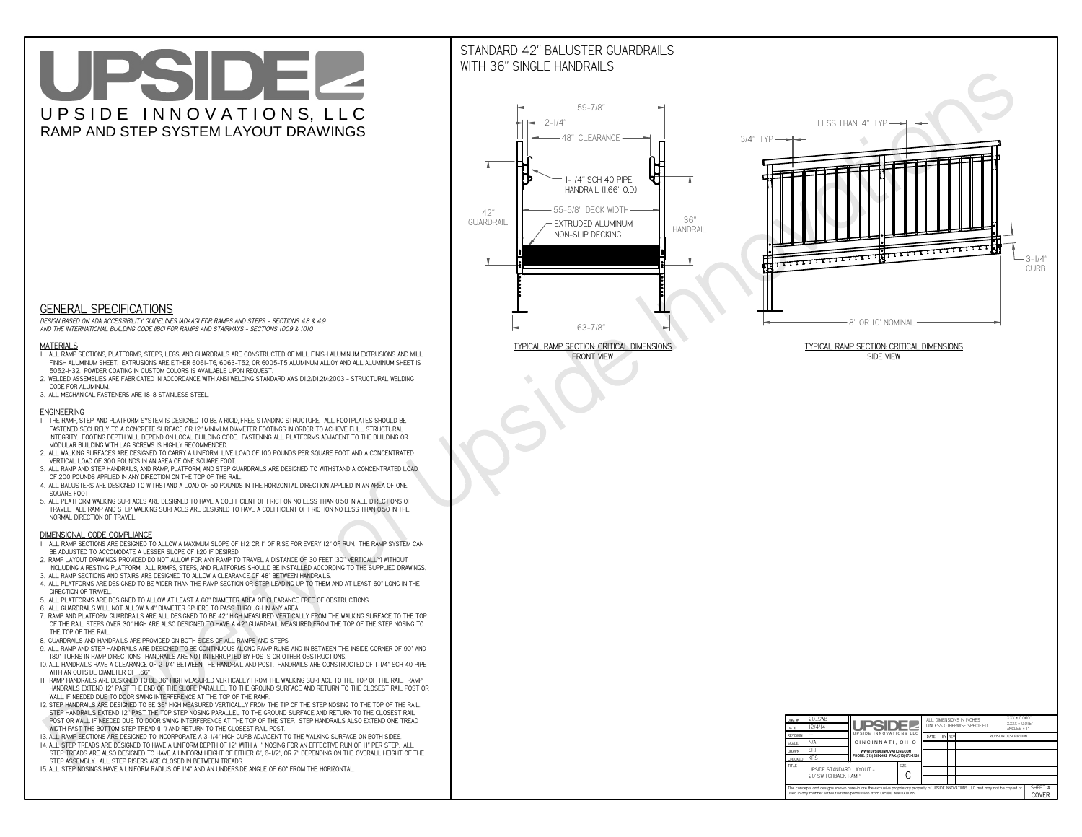# UPSIDEL UPSIDE INNOVATIONS, LLC RAMP AND STEP SYSTEM LAYOUT DRAWINGS

## STANDARD 42" BALUSTER GUARDRAILSWITH 36" SINGLE HANDRAILS

**FRONT VIEW**





**GENERAL SPECIFICATIONS**

 *DESIGN BASED ON ADA ACCESSIBILITY GUIDELINES (ADAAG) FOR RAMPS AND STEPS - SECTIONS 4.8 & 4.9AND THE INTERNATIONAL BUILDING CODE (IBC) FOR RAMPS AND STAIRWAYS - SECTIONS 1009 & 1010*

#### **MATERIALS**

- **1. ALL RAMP SECTIONS, PLATFORMS, STEPS, LEGS, AND GUARDRAILS ARE CONSTRUCTED OF MILL FINISH ALUMINUM EXTRUSIONS AND MILL FINISH ALUMINUM SHEET. EXTRUSIONS ARE EITHER 6061-T6, 6063-T52, OR 6005-T5 ALUMINUM ALLOY AND ALL ALUMINUM SHEET IS 5052-H32. POWDER COATING IN CUSTOM COLORS IS AVAILABLE UPON REQUEST.**
- **2. WELDED ASSEMBLIES ARE FABRICATED IN ACCORDANCE WITH ANSI WELDING STANDARD AWS D1.2/D1.2M:2003 STRUCTURAL WELDING CODE FOR ALUMINUM.**
- **3. ALL MECHANICAL FASTENERS ARE 18-8 STAINLESS STEEL.**

#### **ENGINEERING**

- **1. THE RAMP, STEP, AND PLATFORM SYSTEM IS DESIGNED TO BE A RIGID, FREE STANDING STRUCTURE. ALL FOOTPLATES SHOULD BE FASTENED SECURELY TO A CONCRETE SURFACE OR 12" MINIMUM DIAMETER FOOTINGS IN ORDER TO ACHIEVE FULL STRUCTURAL INTEGRITY. FOOTING DEPTH WILL DEPEND ON LOCAL BUILDING CODE. FASTENING ALL PLATFORMS ADJACENT TO THE BUILDING OR MODULAR BUILDING WITH LAG SCREWS IS HIGHLY RECOMMENDED.**
- **2. ALL WALKING SURFACES ARE DESIGNED TO CARRY A UNIFORM LIVE LOAD OF 100 POUNDS PER SQUARE FOOT AND A CONCENTRATED VERTICAL LOAD OF 300 POUNDS IN AN AREA OF ONE SQUARE FOOT.**
- **3. ALL RAMP AND STEP HANDRAILS, AND RAMP, PLATFORM, AND STEP GUARDRAILS ARE DESIGNED TO WITHSTAND A CONCENTRATED LOAD OF 200 POUNDS APPLIED IN ANY DIRECTION ON THE TOP OF THE RAIL.**
- **4. ALL BALUSTERS ARE DESIGNED TO WITHSTAND A LOAD OF 50 POUNDS IN THE HORIZONTAL DIRECTION APPLIED IN AN AREA OF ONE SQUARE FOOT.**
- **5. ALL PLATFORM WALKING SURFACES ARE DESIGNED TO HAVE A COEFFICIENT OF FRICTION NO LESS THAN 0.50 IN ALL DIRECTIONS OF TRAVEL. ALL RAMP AND STEP WALKING SURFACES ARE DESIGNED TO HAVE A COEFFICIENT OF FRICTION NO LESS THAN 0.50 IN THE NORMAL DIRECTION OF TRAVEL.**

| $DWG.$ #<br>DATE                                                                                                                                                                                            | 20_SWB<br> 2/4/14                               | <b>UPSIDE2</b>                            |  | ALL DIMENSIONS IN INCHES<br>UNI FSS OTHERWISE SPECIFIED |        |  |  | $XXX = 0.060"$<br>$XXX \pm 0.015$ "<br>ANGLES $\pm$ 1° |                  |
|-------------------------------------------------------------------------------------------------------------------------------------------------------------------------------------------------------------|-------------------------------------------------|-------------------------------------------|--|---------------------------------------------------------|--------|--|--|--------------------------------------------------------|------------------|
| <b>REVISION</b>                                                                                                                                                                                             |                                                 | UPSIDE INNOVATIONS LLC                    |  | DATE                                                    | BY REV |  |  | <b>REVISION DESCRIPTION</b>                            |                  |
| <b>SCALE</b>                                                                                                                                                                                                | N/A                                             | CINCINNATI, OHIO                          |  |                                                         |        |  |  |                                                        |                  |
| <b>DRAWN</b>                                                                                                                                                                                                | <b>SRF</b>                                      | WWW.UPSIDEINNOVATIONS.COM                 |  |                                                         |        |  |  |                                                        |                  |
| CHECKED                                                                                                                                                                                                     | <b>KRS</b>                                      | PHONE: (513) 889-2492 FAX: (513) 672-2124 |  |                                                         |        |  |  |                                                        |                  |
| <b>TITLE</b>                                                                                                                                                                                                | UPSIDE STANDARD LAYOUT -<br>20' SWITCHBACK RAMP | <b>SIZE</b>                               |  |                                                         |        |  |  |                                                        |                  |
| The concepts and designs shown here-in are the exclusive proprietary property of UPSIDE INNOVATIONS LLC. and may not be copied or<br>used in any manner without written permission from UPSIDE INNOVATIONS. |                                                 |                                           |  |                                                         |        |  |  |                                                        | SHEET #<br>COVER |

### **DIMENSIONAL CODE COMPLIANCE**

- **1. ALL RAMP SECTIONS ARE DESIGNED TO ALLOW A MAXIMUM SLOPE OF 1:12 OR 1" OF RISE FOR EVERY 12" OF RUN. THE RAMP SYSTEM CAN BE ADJUSTED TO ACCOMODATE A LESSER SLOPE OF 1:20 IF DESIRED.**
- **2. RAMP LAYOUT DRAWINGS PROVIDED DO NOT ALLOW FOR ANY RAMP TO TRAVEL A DISTANCE OF 30 FEET (30" VERTICALLY) WITHOUT INCLUDING A RESTING PLATFORM. ALL RAMPS, STEPS, AND PLATFORMS SHOULD BE INSTALLED ACCORDING TO THE SUPPLIED DRAWINGS.**
- **3. ALL RAMP SECTIONS AND STAIRS ARE DESIGNED TO ALLOW A CLEARANCE OF 48" BETWEEN HANDRAILS.**
- **4. ALL PLATFORMS ARE DESIGNED TO BE WIDER THAN THE RAMP SECTION OR STEP LEADING UP TO THEM AND AT LEAST 60" LONG IN THE DIRECTION OF TRAVEL.**
- **5. ALL PLATFORMS ARE DESIGNED TO ALLOW AT LEAST A 60" DIAMETER AREA OF CLEARANCE FREE OF OBSTRUCTIONS.**
- **6. ALL GUARDRAILS WILL NOT ALLOW A 4" DIAMETER SPHERE TO PASS THROUGH IN ANY AREA.**
- **7. RAMP AND PLATFORM GUARDRAILS ARE ALL DESIGNED TO BE 42" HIGH MEASURED VERTICALLY FROM THE WALKING SURFACE TO THE TOP OF THE RAIL. STEPS OVER 30" HIGH ARE ALSO DESIGNED TO HAVE A 42" GUARDRAIL MEASURED FROM THE TOP OF THE STEP NOSING TO THE TOP OF THE RAIL.**
- **8. GUARDRAILS AND HANDRAILS ARE PROVIDED ON BOTH SIDES OF ALL RAMPS AND STEPS.**
- **9. ALL RAMP AND STEP HANDRAILS ARE DESIGNED TO BE CONTINUOUS ALONG RAMP RUNS AND IN BETWEEN THE INSIDE CORNER OF 90° AND 180° TURNS IN RAMP DIRECTIONS. HANDRAILS ARE NOT INTERRUPTED BY POSTS OR OTHER OBSTRUCTIONS.**
- **10. ALL HANDRAILS HAVE A CLEARANCE OF 2-1/4" BETWEEN THE HANDRAIL AND POST. HANDRAILS ARE CONSTRUCTED OF 1-1/4" SCH 40 PIPE WITH AN OUTSIDE DIAMETER OF 1.66"**
- **11. RAMP HANDRAILS ARE DESIGNED TO BE 36" HIGH MEASURED VERTICALLY FROM THE WALKING SURFACE TO THE TOP OF THE RAIL. RAMP HANDRAILS EXTEND 12" PAST THE END OF THE SLOPE PARALLEL TO THE GROUND SURFACE AND RETURN TO THE CLOSEST RAIL POST OR WALL IF NEEDED DUE TO DOOR SWING INTERFERENCE AT THE TOP OF THE RAMP.**
- **12. STEP HANDRAILS ARE DESIGNED TO BE 36" HIGH MEASURED VERTICALLY FROM THE TIP OF THE STEP NOSING TO THE TOP OF THE RAIL. STEP HANDRAILS EXTEND 12" PAST THE TOP STEP NOSING PARALLEL TO THE GROUND SURFACE AND RETURN TO THE CLOSEST RAIL POST OR WALL IF NEEDED DUE TO DOOR SWING INTERFERENCE AT THE TOP OF THE STEP. STEP HANDRAILS ALSO EXTEND ONE TREAD**
- **WIDTH PAST THE BOTTOM STEP TREAD (11") AND RETURN TO THE CLOSEST RAIL POST.**
- **13. ALL RAMP SECTIONS ARE DESIGNED TO INCORPORATE A 3-1/4" HIGH CURB ADJACENT TO THE WALKING SURFACE ON BOTH SIDES.**
- **14. ALL STEP TREADS ARE DESIGNED TO HAVE A UNIFORM DEPTH OF 12" WITH A 1" NOSING FOR AN EFFECTIVE RUN OF 11" PER STEP. ALL STEP TREADS ARE ALSO DESIGNED TO HAVE A UNIFORM HEIGHT OF EITHER 6", 6-1/2", OR 7" DEPENDING ON THE OVERALL HEIGHT OF THE STEP ASSEMBLY. ALL STEP RISERS ARE CLOSED IN BETWEEN TREADS.**
- **15. ALL STEP NOSINGS HAVE A UNIFORM RADIUS OF 1/4" AND AN UNDERSIDE ANGLE OF 60° FROM THE HORIZONTAL.**